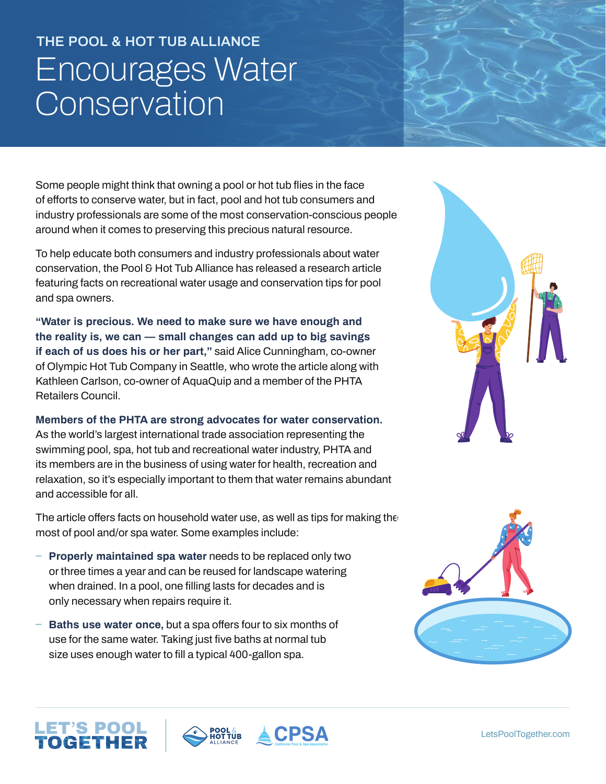## **THE POOL & HOT TUB ALLIANCE** Encourages Water **Conservation**

Some people might think that owning a pool or hot tub flies in the face of efforts to conserve water, but in fact, pool and hot tub consumers and industry professionals are some of the most conservation-conscious people around when it comes to preserving this precious natural resource.

To help educate both consumers and industry professionals about water conservation, the Pool & Hot Tub Alliance has released a research article featuring facts on recreational water usage and conservation tips for pool and spa owners.

**"Water is precious. We need to make sure we have enough and the reality is, we can — small changes can add up to big savings if each of us does his or her part,"** said Alice Cunningham, co-owner of Olympic Hot Tub Company in Seattle, who wrote the article along with Kathleen Carlson, co-owner of AquaQuip and a member of the PHTA Retailers Council.

**Members of the PHTA are strong advocates for water conservation.**  As the world's largest international trade association representing the swimming pool, spa, hot tub and recreational water industry, PHTA and its members are in the business of using water for health, recreation and relaxation, so it's especially important to them that water remains abundant and accessible for all.

The article offers facts on household water use, as well as tips for making the most of pool and/or spa water. Some examples include:

- **ɴ Properly maintained spa water** needs to be replaced only two or three times a year and can be reused for landscape watering when drained. In a pool, one filling lasts for decades and is only necessary when repairs require it.
- **ɴ Baths use water once,** but a spa offers four to six months of use for the same water. Taking just five baths at normal tub size uses enough water to fill a typical 400-gallon spa.

LET'S POOL<br>**TOGETHER**